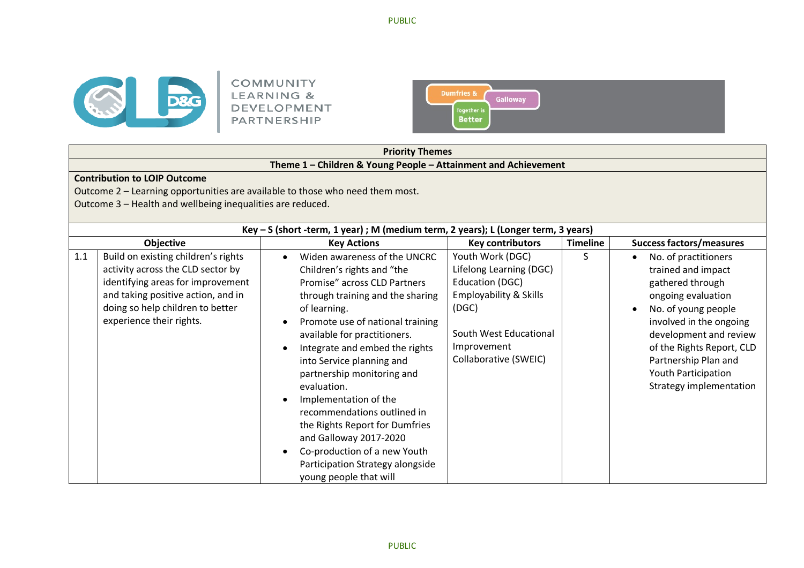



|     |                                                                                                                                                                                                                     |           | <b>Priority Themes</b>                                                                                                                                                                                                                                                                                                                                                                                                                                                                                                                           |                                                                                                                                                                                |                 |                                                                                                                                                                                                                                                                                                   |  |  |  |
|-----|---------------------------------------------------------------------------------------------------------------------------------------------------------------------------------------------------------------------|-----------|--------------------------------------------------------------------------------------------------------------------------------------------------------------------------------------------------------------------------------------------------------------------------------------------------------------------------------------------------------------------------------------------------------------------------------------------------------------------------------------------------------------------------------------------------|--------------------------------------------------------------------------------------------------------------------------------------------------------------------------------|-----------------|---------------------------------------------------------------------------------------------------------------------------------------------------------------------------------------------------------------------------------------------------------------------------------------------------|--|--|--|
|     |                                                                                                                                                                                                                     |           | Theme 1 - Children & Young People - Attainment and Achievement                                                                                                                                                                                                                                                                                                                                                                                                                                                                                   |                                                                                                                                                                                |                 |                                                                                                                                                                                                                                                                                                   |  |  |  |
|     | <b>Contribution to LOIP Outcome</b><br>Outcome 2 - Learning opportunities are available to those who need them most.<br>Outcome 3 - Health and wellbeing inequalities are reduced.                                  |           |                                                                                                                                                                                                                                                                                                                                                                                                                                                                                                                                                  |                                                                                                                                                                                |                 |                                                                                                                                                                                                                                                                                                   |  |  |  |
|     |                                                                                                                                                                                                                     |           | Key - S (short -term, 1 year) ; M (medium term, 2 years); L (Longer term, 3 years)                                                                                                                                                                                                                                                                                                                                                                                                                                                               |                                                                                                                                                                                |                 |                                                                                                                                                                                                                                                                                                   |  |  |  |
|     | Objective                                                                                                                                                                                                           |           | <b>Key Actions</b>                                                                                                                                                                                                                                                                                                                                                                                                                                                                                                                               | <b>Key contributors</b>                                                                                                                                                        | <b>Timeline</b> | <b>Success factors/measures</b>                                                                                                                                                                                                                                                                   |  |  |  |
| 1.1 | Build on existing children's rights<br>activity across the CLD sector by<br>identifying areas for improvement<br>and taking positive action, and in<br>doing so help children to better<br>experience their rights. | $\bullet$ | Widen awareness of the UNCRC<br>Children's rights and "the<br>Promise" across CLD Partners<br>through training and the sharing<br>of learning.<br>Promote use of national training<br>available for practitioners.<br>Integrate and embed the rights<br>into Service planning and<br>partnership monitoring and<br>evaluation.<br>Implementation of the<br>recommendations outlined in<br>the Rights Report for Dumfries<br>and Galloway 2017-2020<br>Co-production of a new Youth<br>Participation Strategy alongside<br>young people that will | Youth Work (DGC)<br>Lifelong Learning (DGC)<br>Education (DGC)<br><b>Employability &amp; Skills</b><br>(DGC)<br>South West Educational<br>Improvement<br>Collaborative (SWEIC) | S               | No. of practitioners<br>$\bullet$<br>trained and impact<br>gathered through<br>ongoing evaluation<br>No. of young people<br>$\bullet$<br>involved in the ongoing<br>development and review<br>of the Rights Report, CLD<br>Partnership Plan and<br>Youth Participation<br>Strategy implementation |  |  |  |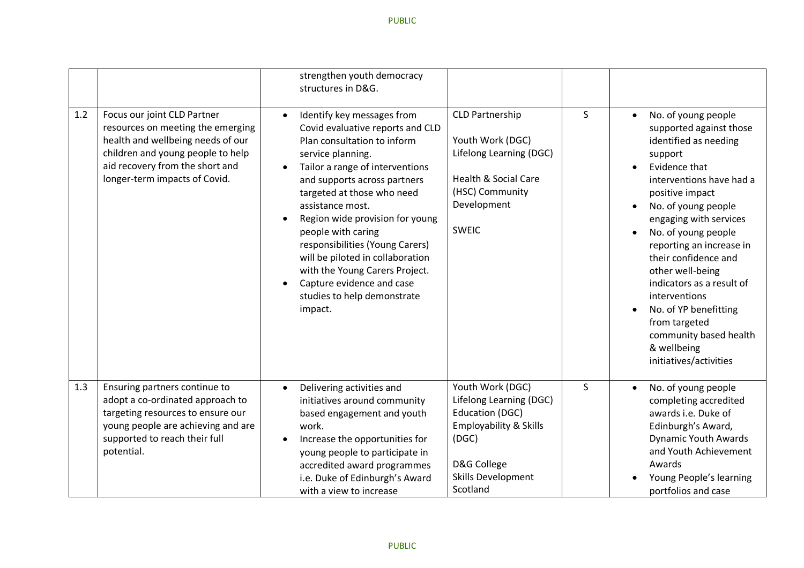|     |                                                                                                                                                                                                                | strengthen youth democracy<br>structures in D&G.                                                                                                                                                                                                                                                                                                                                                                                                                                              |                                                                                                                                                                      |                                          |                                                                                                                                                                                                                                                                                                                                                                                                                                                               |
|-----|----------------------------------------------------------------------------------------------------------------------------------------------------------------------------------------------------------------|-----------------------------------------------------------------------------------------------------------------------------------------------------------------------------------------------------------------------------------------------------------------------------------------------------------------------------------------------------------------------------------------------------------------------------------------------------------------------------------------------|----------------------------------------------------------------------------------------------------------------------------------------------------------------------|------------------------------------------|---------------------------------------------------------------------------------------------------------------------------------------------------------------------------------------------------------------------------------------------------------------------------------------------------------------------------------------------------------------------------------------------------------------------------------------------------------------|
| 1.2 | Focus our joint CLD Partner<br>resources on meeting the emerging<br>health and wellbeing needs of our<br>children and young people to help<br>aid recovery from the short and<br>longer-term impacts of Covid. | Identify key messages from<br>$\bullet$<br>Covid evaluative reports and CLD<br>Plan consultation to inform<br>service planning.<br>Tailor a range of interventions<br>and supports across partners<br>targeted at those who need<br>assistance most.<br>Region wide provision for young<br>people with caring<br>responsibilities (Young Carers)<br>will be piloted in collaboration<br>with the Young Carers Project.<br>Capture evidence and case<br>studies to help demonstrate<br>impact. | <b>CLD Partnership</b><br>Youth Work (DGC)<br>Lifelong Learning (DGC)<br><b>Health &amp; Social Care</b><br>(HSC) Community<br>Development<br><b>SWEIC</b>           | S<br>$\bullet$<br>$\bullet$<br>$\bullet$ | No. of young people<br>supported against those<br>identified as needing<br>support<br>Evidence that<br>interventions have had a<br>positive impact<br>No. of young people<br>engaging with services<br>No. of young people<br>reporting an increase in<br>their confidence and<br>other well-being<br>indicators as a result of<br>interventions<br>No. of YP benefitting<br>from targeted<br>community based health<br>& wellbeing<br>initiatives/activities |
| 1.3 | Ensuring partners continue to<br>adopt a co-ordinated approach to<br>targeting resources to ensure our<br>young people are achieving and are<br>supported to reach their full<br>potential.                    | Delivering activities and<br>$\bullet$<br>initiatives around community<br>based engagement and youth<br>work.<br>Increase the opportunities for<br>$\bullet$<br>young people to participate in<br>accredited award programmes<br>i.e. Duke of Edinburgh's Award<br>with a view to increase                                                                                                                                                                                                    | Youth Work (DGC)<br>Lifelong Learning (DGC)<br><b>Education (DGC)</b><br><b>Employability &amp; Skills</b><br>(DGC)<br>D&G College<br>Skills Development<br>Scotland | $\mathsf{S}$<br>$\bullet$                | No. of young people<br>completing accredited<br>awards i.e. Duke of<br>Edinburgh's Award,<br><b>Dynamic Youth Awards</b><br>and Youth Achievement<br>Awards<br>Young People's learning<br>portfolios and case                                                                                                                                                                                                                                                 |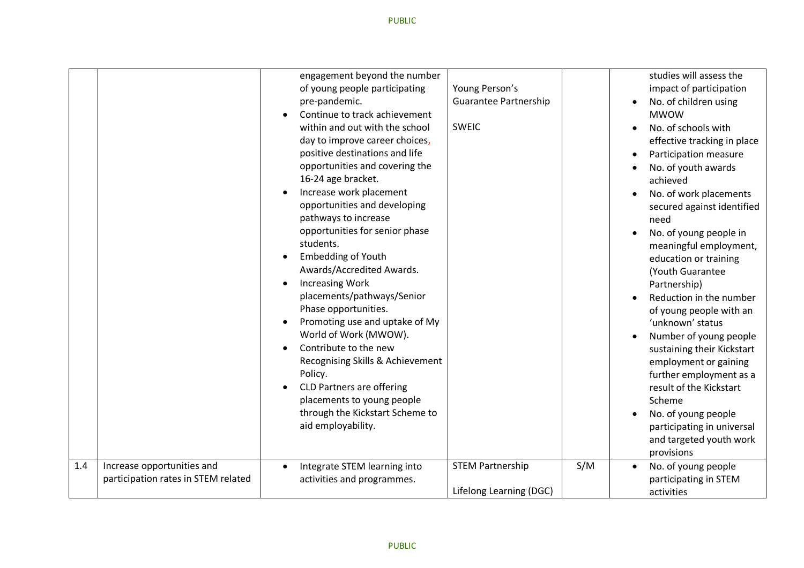|     |                                                                   | engagement beyond the number<br>of young people participating<br>pre-pandemic.<br>Continue to track achievement<br>within and out with the school<br>day to improve career choices,<br>positive destinations and life<br>opportunities and covering the<br>16-24 age bracket.<br>Increase work placement<br>opportunities and developing<br>pathways to increase<br>opportunities for senior phase<br>students.<br><b>Embedding of Youth</b><br>Awards/Accredited Awards.<br><b>Increasing Work</b><br>placements/pathways/Senior<br>Phase opportunities.<br>Promoting use and uptake of My<br>World of Work (MWOW).<br>Contribute to the new<br>Recognising Skills & Achievement<br>Policy.<br><b>CLD Partners are offering</b><br>placements to young people<br>through the Kickstart Scheme to<br>aid employability. | Young Person's<br><b>Guarantee Partnership</b><br><b>SWEIC</b> | studies will assess the<br>impact of participation<br>No. of children using<br>$\bullet$<br><b>MWOW</b><br>No. of schools with<br>effective tracking in place<br>Participation measure<br>$\bullet$<br>No. of youth awards<br>achieved<br>No. of work placements<br>secured against identified<br>need<br>No. of young people in<br>meaningful employment,<br>education or training<br>(Youth Guarantee<br>Partnership)<br>Reduction in the number<br>of young people with an<br>'unknown' status<br>Number of young people<br>sustaining their Kickstart<br>employment or gaining<br>further employment as a<br>result of the Kickstart<br>Scheme<br>No. of young people<br>participating in universal<br>and targeted youth work<br>provisions |
|-----|-------------------------------------------------------------------|-------------------------------------------------------------------------------------------------------------------------------------------------------------------------------------------------------------------------------------------------------------------------------------------------------------------------------------------------------------------------------------------------------------------------------------------------------------------------------------------------------------------------------------------------------------------------------------------------------------------------------------------------------------------------------------------------------------------------------------------------------------------------------------------------------------------------|----------------------------------------------------------------|--------------------------------------------------------------------------------------------------------------------------------------------------------------------------------------------------------------------------------------------------------------------------------------------------------------------------------------------------------------------------------------------------------------------------------------------------------------------------------------------------------------------------------------------------------------------------------------------------------------------------------------------------------------------------------------------------------------------------------------------------|
| 1.4 | Increase opportunities and<br>participation rates in STEM related | Integrate STEM learning into<br>$\bullet$<br>activities and programmes.                                                                                                                                                                                                                                                                                                                                                                                                                                                                                                                                                                                                                                                                                                                                                 | S/M<br><b>STEM Partnership</b><br>Lifelong Learning (DGC)      | No. of young people<br>$\bullet$<br>participating in STEM<br>activities                                                                                                                                                                                                                                                                                                                                                                                                                                                                                                                                                                                                                                                                          |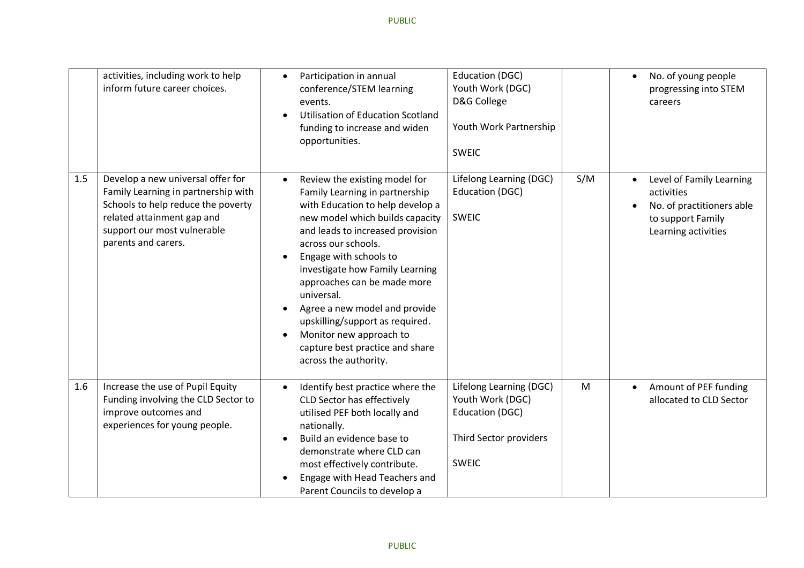|     | activities, including work to help<br>inform future career choices.                                                                                                                                | Participation in annual<br>$\bullet$<br>conference/STEM learning<br>events.<br><b>Utilisation of Education Scotland</b><br>funding to increase and widen<br>opportunities.                                                                                                                                                                                                                                                                                                          | <b>Education (DGC)</b><br>Youth Work (DGC)<br>D&G College<br>Youth Work Partnership<br><b>SWEIC</b>      |     | No. of young people<br>$\bullet$<br>progressing into STEM<br>careers                                                         |
|-----|----------------------------------------------------------------------------------------------------------------------------------------------------------------------------------------------------|-------------------------------------------------------------------------------------------------------------------------------------------------------------------------------------------------------------------------------------------------------------------------------------------------------------------------------------------------------------------------------------------------------------------------------------------------------------------------------------|----------------------------------------------------------------------------------------------------------|-----|------------------------------------------------------------------------------------------------------------------------------|
| 1.5 | Develop a new universal offer for<br>Family Learning in partnership with<br>Schools to help reduce the poverty<br>related attainment gap and<br>support our most vulnerable<br>parents and carers. | Review the existing model for<br>$\bullet$<br>Family Learning in partnership<br>with Education to help develop a<br>new model which builds capacity<br>and leads to increased provision<br>across our schools.<br>Engage with schools to<br>investigate how Family Learning<br>approaches can be made more<br>universal.<br>Agree a new model and provide<br>upskilling/support as required.<br>Monitor new approach to<br>capture best practice and share<br>across the authority. | Lifelong Learning (DGC)<br>Education (DGC)<br><b>SWEIC</b>                                               | S/M | Level of Family Learning<br>$\bullet$<br>activities<br>No. of practitioners able<br>to support Family<br>Learning activities |
| 1.6 | Increase the use of Pupil Equity<br>Funding involving the CLD Sector to<br>improve outcomes and<br>experiences for young people.                                                                   | Identify best practice where the<br>CLD Sector has effectively<br>utilised PEF both locally and<br>nationally.<br>Build an evidence base to<br>demonstrate where CLD can<br>most effectively contribute.<br>Engage with Head Teachers and<br>Parent Councils to develop a                                                                                                                                                                                                           | Lifelong Learning (DGC)<br>Youth Work (DGC)<br>Education (DGC)<br>Third Sector providers<br><b>SWEIC</b> | M   | Amount of PEF funding<br>$\bullet$<br>allocated to CLD Sector                                                                |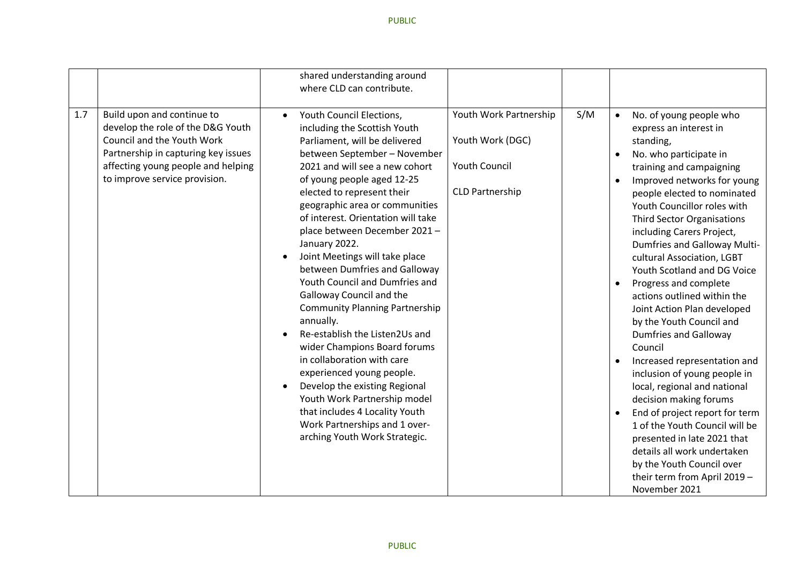|     |                                                                                                                                                                                                             | shared understanding around<br>where CLD can contribute.                                                                                                                                                                                                                                                                                                                                                                                                                                                                                                                                                                                                                                                                                                                                                                                                                                                                                                            |     |                                                                            |                                                                                                                                                                                                                                                                                                                                                                                                                                                                                                                                                                                                                                                                                                                                                                                                                                                                                                 |
|-----|-------------------------------------------------------------------------------------------------------------------------------------------------------------------------------------------------------------|---------------------------------------------------------------------------------------------------------------------------------------------------------------------------------------------------------------------------------------------------------------------------------------------------------------------------------------------------------------------------------------------------------------------------------------------------------------------------------------------------------------------------------------------------------------------------------------------------------------------------------------------------------------------------------------------------------------------------------------------------------------------------------------------------------------------------------------------------------------------------------------------------------------------------------------------------------------------|-----|----------------------------------------------------------------------------|-------------------------------------------------------------------------------------------------------------------------------------------------------------------------------------------------------------------------------------------------------------------------------------------------------------------------------------------------------------------------------------------------------------------------------------------------------------------------------------------------------------------------------------------------------------------------------------------------------------------------------------------------------------------------------------------------------------------------------------------------------------------------------------------------------------------------------------------------------------------------------------------------|
| 1.7 | Build upon and continue to<br>develop the role of the D&G Youth<br>Council and the Youth Work<br>Partnership in capturing key issues<br>affecting young people and helping<br>to improve service provision. | Youth Council Elections,<br>Youth Work Partnership<br>$\bullet$<br>including the Scottish Youth<br>Youth Work (DGC)<br>Parliament, will be delivered<br>between September - November<br><b>Youth Council</b><br>2021 and will see a new cohort<br>of young people aged 12-25<br><b>CLD Partnership</b><br>elected to represent their<br>geographic area or communities<br>of interest. Orientation will take<br>place between December 2021-<br>January 2022.<br>Joint Meetings will take place<br>between Dumfries and Galloway<br>Youth Council and Dumfries and<br>Galloway Council and the<br><b>Community Planning Partnership</b><br>annually.<br>Re-establish the Listen2Us and<br>wider Champions Board forums<br>in collaboration with care<br>experienced young people.<br>Develop the existing Regional<br>$\bullet$<br>Youth Work Partnership model<br>that includes 4 Locality Youth<br>Work Partnerships and 1 over-<br>arching Youth Work Strategic. | S/M | $\bullet$<br>$\bullet$<br>$\bullet$<br>$\bullet$<br>$\bullet$<br>$\bullet$ | No. of young people who<br>express an interest in<br>standing,<br>No. who participate in<br>training and campaigning<br>Improved networks for young<br>people elected to nominated<br>Youth Councillor roles with<br><b>Third Sector Organisations</b><br>including Carers Project,<br><b>Dumfries and Galloway Multi-</b><br>cultural Association, LGBT<br>Youth Scotland and DG Voice<br>Progress and complete<br>actions outlined within the<br>Joint Action Plan developed<br>by the Youth Council and<br><b>Dumfries and Galloway</b><br>Council<br>Increased representation and<br>inclusion of young people in<br>local, regional and national<br>decision making forums<br>End of project report for term<br>1 of the Youth Council will be<br>presented in late 2021 that<br>details all work undertaken<br>by the Youth Council over<br>their term from April 2019 -<br>November 2021 |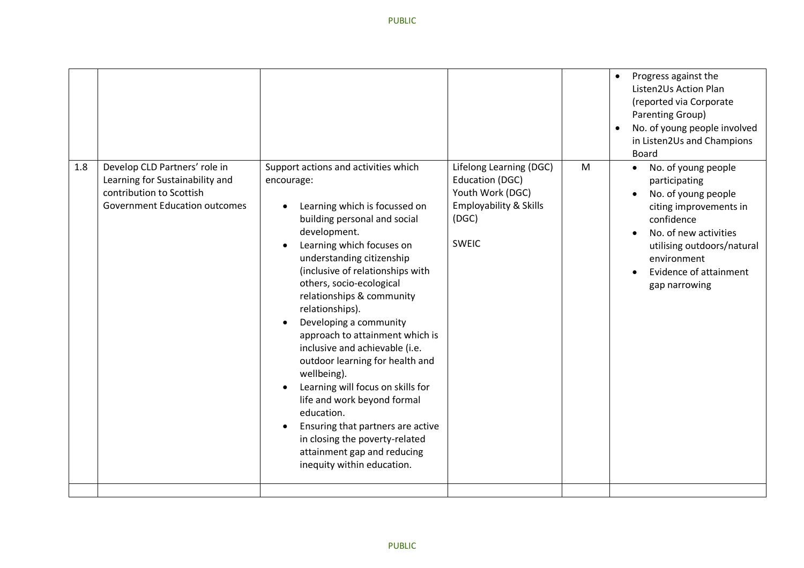|     |                                                                                                                                      |                                                                                                                                                                                                                                                                                                                                                                                                                                                                                                                                                                                                                                                                                      |                                                                                                                              |   | Progress against the<br>$\bullet$<br>Listen2Us Action Plan<br>(reported via Corporate<br>Parenting Group)<br>No. of young people involved<br>$\bullet$<br>in Listen2Us and Champions<br><b>Board</b>                              |
|-----|--------------------------------------------------------------------------------------------------------------------------------------|--------------------------------------------------------------------------------------------------------------------------------------------------------------------------------------------------------------------------------------------------------------------------------------------------------------------------------------------------------------------------------------------------------------------------------------------------------------------------------------------------------------------------------------------------------------------------------------------------------------------------------------------------------------------------------------|------------------------------------------------------------------------------------------------------------------------------|---|-----------------------------------------------------------------------------------------------------------------------------------------------------------------------------------------------------------------------------------|
| 1.8 | Develop CLD Partners' role in<br>Learning for Sustainability and<br>contribution to Scottish<br><b>Government Education outcomes</b> | Support actions and activities which<br>encourage:<br>Learning which is focussed on<br>building personal and social<br>development.<br>Learning which focuses on<br>understanding citizenship<br>(inclusive of relationships with<br>others, socio-ecological<br>relationships & community<br>relationships).<br>Developing a community<br>approach to attainment which is<br>inclusive and achievable (i.e.<br>outdoor learning for health and<br>wellbeing).<br>Learning will focus on skills for<br>life and work beyond formal<br>education.<br>Ensuring that partners are active<br>in closing the poverty-related<br>attainment gap and reducing<br>inequity within education. | Lifelong Learning (DGC)<br>Education (DGC)<br>Youth Work (DGC)<br><b>Employability &amp; Skills</b><br>(DGC)<br><b>SWEIC</b> | M | No. of young people<br>$\bullet$<br>participating<br>No. of young people<br>citing improvements in<br>confidence<br>No. of new activities<br>utilising outdoors/natural<br>environment<br>Evidence of attainment<br>gap narrowing |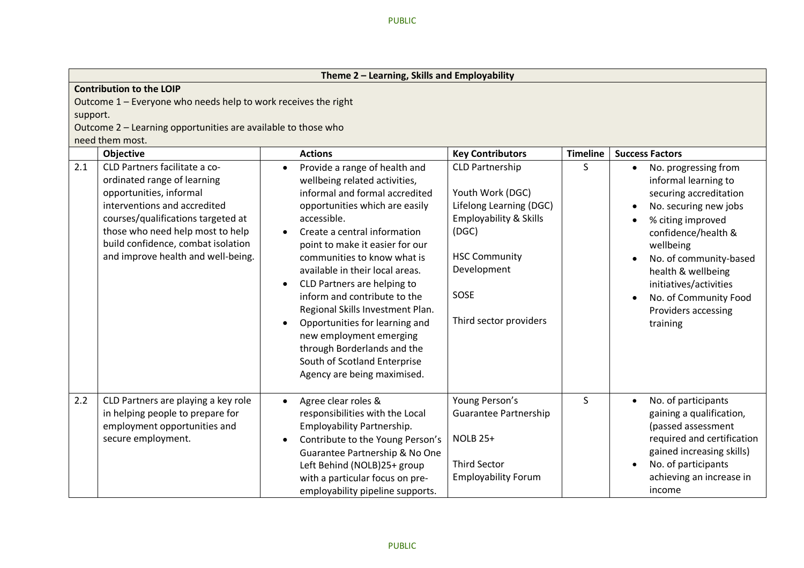|          | Theme 2 - Learning, Skills and Employability                                                                                                                                                                                                                                  |                                                                                                                                                                                                                                                                                                                                                                                                                                                                                                                                                      |                                                                                                                                                                                              |                 |                                                                                                                                                                                                                                                                                                             |  |  |  |  |
|----------|-------------------------------------------------------------------------------------------------------------------------------------------------------------------------------------------------------------------------------------------------------------------------------|------------------------------------------------------------------------------------------------------------------------------------------------------------------------------------------------------------------------------------------------------------------------------------------------------------------------------------------------------------------------------------------------------------------------------------------------------------------------------------------------------------------------------------------------------|----------------------------------------------------------------------------------------------------------------------------------------------------------------------------------------------|-----------------|-------------------------------------------------------------------------------------------------------------------------------------------------------------------------------------------------------------------------------------------------------------------------------------------------------------|--|--|--|--|
|          | <b>Contribution to the LOIP</b>                                                                                                                                                                                                                                               |                                                                                                                                                                                                                                                                                                                                                                                                                                                                                                                                                      |                                                                                                                                                                                              |                 |                                                                                                                                                                                                                                                                                                             |  |  |  |  |
|          | Outcome 1 - Everyone who needs help to work receives the right                                                                                                                                                                                                                |                                                                                                                                                                                                                                                                                                                                                                                                                                                                                                                                                      |                                                                                                                                                                                              |                 |                                                                                                                                                                                                                                                                                                             |  |  |  |  |
| support. |                                                                                                                                                                                                                                                                               |                                                                                                                                                                                                                                                                                                                                                                                                                                                                                                                                                      |                                                                                                                                                                                              |                 |                                                                                                                                                                                                                                                                                                             |  |  |  |  |
|          | Outcome 2 - Learning opportunities are available to those who                                                                                                                                                                                                                 |                                                                                                                                                                                                                                                                                                                                                                                                                                                                                                                                                      |                                                                                                                                                                                              |                 |                                                                                                                                                                                                                                                                                                             |  |  |  |  |
|          | need them most.                                                                                                                                                                                                                                                               |                                                                                                                                                                                                                                                                                                                                                                                                                                                                                                                                                      |                                                                                                                                                                                              |                 |                                                                                                                                                                                                                                                                                                             |  |  |  |  |
|          | Objective                                                                                                                                                                                                                                                                     | <b>Actions</b>                                                                                                                                                                                                                                                                                                                                                                                                                                                                                                                                       | <b>Key Contributors</b>                                                                                                                                                                      | <b>Timeline</b> | <b>Success Factors</b>                                                                                                                                                                                                                                                                                      |  |  |  |  |
| 2.1      | CLD Partners facilitate a co-<br>ordinated range of learning<br>opportunities, informal<br>interventions and accredited<br>courses/qualifications targeted at<br>those who need help most to help<br>build confidence, combat isolation<br>and improve health and well-being. | Provide a range of health and<br>wellbeing related activities,<br>informal and formal accredited<br>opportunities which are easily<br>accessible.<br>Create a central information<br>point to make it easier for our<br>communities to know what is<br>available in their local areas.<br>CLD Partners are helping to<br>inform and contribute to the<br>Regional Skills Investment Plan.<br>Opportunities for learning and<br>new employment emerging<br>through Borderlands and the<br>South of Scotland Enterprise<br>Agency are being maximised. | <b>CLD Partnership</b><br>Youth Work (DGC)<br>Lifelong Learning (DGC)<br><b>Employability &amp; Skills</b><br>(DGC)<br><b>HSC Community</b><br>Development<br>SOSE<br>Third sector providers | S.              | No. progressing from<br>$\bullet$<br>informal learning to<br>securing accreditation<br>No. securing new jobs<br>% citing improved<br>confidence/health &<br>wellbeing<br>No. of community-based<br>health & wellbeing<br>initiatives/activities<br>No. of Community Food<br>Providers accessing<br>training |  |  |  |  |
| 2.2      | CLD Partners are playing a key role<br>in helping people to prepare for<br>employment opportunities and<br>secure employment.                                                                                                                                                 | Agree clear roles &<br>$\bullet$<br>responsibilities with the Local<br>Employability Partnership.<br>Contribute to the Young Person's<br>Guarantee Partnership & No One<br>Left Behind (NOLB)25+ group<br>with a particular focus on pre-<br>employability pipeline supports.                                                                                                                                                                                                                                                                        | Young Person's<br>Guarantee Partnership<br><b>NOLB 25+</b><br><b>Third Sector</b><br><b>Employability Forum</b>                                                                              | S               | No. of participants<br>$\bullet$<br>gaining a qualification,<br>(passed assessment<br>required and certification<br>gained increasing skills)<br>No. of participants<br>achieving an increase in<br>income                                                                                                  |  |  |  |  |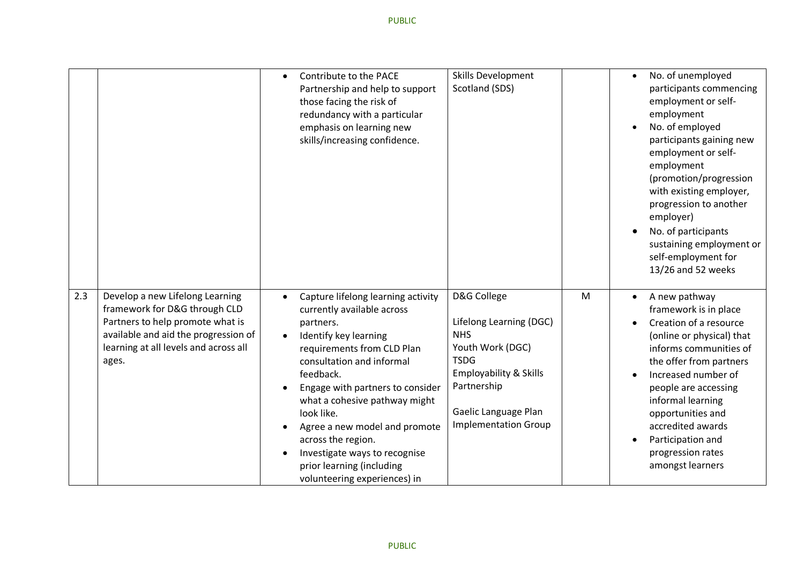|     |                                                                                                                                                                                                | Skills Development<br>Contribute to the PACE<br>$\bullet$<br>Scotland (SDS)<br>Partnership and help to support<br>those facing the risk of<br>redundancy with a particular<br>emphasis on learning new<br>skills/increasing confidence.                                                                                                                                                                                                                                                                                                                                                                                      | No. of unemployed<br>$\bullet$<br>participants commencing<br>employment or self-<br>employment<br>No. of employed<br>participants gaining new<br>employment or self-<br>employment<br>(promotion/progression<br>with existing employer,<br>progression to another<br>employer)<br>No. of participants<br>$\bullet$<br>sustaining employment or<br>self-employment for<br>13/26 and 52 weeks |
|-----|------------------------------------------------------------------------------------------------------------------------------------------------------------------------------------------------|------------------------------------------------------------------------------------------------------------------------------------------------------------------------------------------------------------------------------------------------------------------------------------------------------------------------------------------------------------------------------------------------------------------------------------------------------------------------------------------------------------------------------------------------------------------------------------------------------------------------------|---------------------------------------------------------------------------------------------------------------------------------------------------------------------------------------------------------------------------------------------------------------------------------------------------------------------------------------------------------------------------------------------|
| 2.3 | Develop a new Lifelong Learning<br>framework for D&G through CLD<br>Partners to help promote what is<br>available and aid the progression of<br>learning at all levels and across all<br>ages. | D&G College<br>Capture lifelong learning activity<br>currently available across<br>Lifelong Learning (DGC)<br>partners.<br><b>NHS</b><br>Identify key learning<br>Youth Work (DGC)<br>requirements from CLD Plan<br><b>TSDG</b><br>consultation and informal<br><b>Employability &amp; Skills</b><br>feedback.<br>Partnership<br>Engage with partners to consider<br>what a cohesive pathway might<br>Gaelic Language Plan<br>look like.<br><b>Implementation Group</b><br>Agree a new model and promote<br>across the region.<br>Investigate ways to recognise<br>prior learning (including<br>volunteering experiences) in | M<br>A new pathway<br>$\bullet$<br>framework is in place<br>Creation of a resource<br>(online or physical) that<br>informs communities of<br>the offer from partners<br>Increased number of<br>people are accessing<br>informal learning<br>opportunities and<br>accredited awards<br>Participation and<br>$\bullet$<br>progression rates<br>amongst learners                               |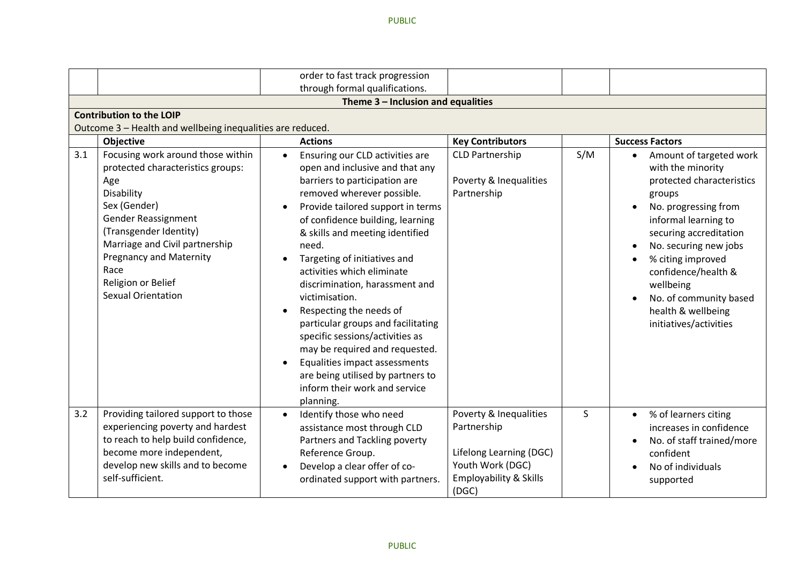|     |                                                                                                                                                                                                                                                                                             |           | order to fast track progression<br>through formal qualifications.                                                                                                                                                                                                                                                                                                                                                                                                                                                                                                                                                                  |                                                                                                                                    |     |                                                                                                                                                                                                                                                                                                                                                     |  |  |  |  |
|-----|---------------------------------------------------------------------------------------------------------------------------------------------------------------------------------------------------------------------------------------------------------------------------------------------|-----------|------------------------------------------------------------------------------------------------------------------------------------------------------------------------------------------------------------------------------------------------------------------------------------------------------------------------------------------------------------------------------------------------------------------------------------------------------------------------------------------------------------------------------------------------------------------------------------------------------------------------------------|------------------------------------------------------------------------------------------------------------------------------------|-----|-----------------------------------------------------------------------------------------------------------------------------------------------------------------------------------------------------------------------------------------------------------------------------------------------------------------------------------------------------|--|--|--|--|
|     |                                                                                                                                                                                                                                                                                             |           | Theme 3 - Inclusion and equalities                                                                                                                                                                                                                                                                                                                                                                                                                                                                                                                                                                                                 |                                                                                                                                    |     |                                                                                                                                                                                                                                                                                                                                                     |  |  |  |  |
|     | <b>Contribution to the LOIP</b>                                                                                                                                                                                                                                                             |           |                                                                                                                                                                                                                                                                                                                                                                                                                                                                                                                                                                                                                                    |                                                                                                                                    |     |                                                                                                                                                                                                                                                                                                                                                     |  |  |  |  |
|     | Outcome 3 - Health and wellbeing inequalities are reduced.                                                                                                                                                                                                                                  |           |                                                                                                                                                                                                                                                                                                                                                                                                                                                                                                                                                                                                                                    |                                                                                                                                    |     |                                                                                                                                                                                                                                                                                                                                                     |  |  |  |  |
|     | Objective                                                                                                                                                                                                                                                                                   |           | <b>Actions</b>                                                                                                                                                                                                                                                                                                                                                                                                                                                                                                                                                                                                                     | <b>Key Contributors</b>                                                                                                            |     | <b>Success Factors</b>                                                                                                                                                                                                                                                                                                                              |  |  |  |  |
| 3.1 | Focusing work around those within<br>protected characteristics groups:<br>Age<br>Disability<br>Sex (Gender)<br>Gender Reassignment<br>(Transgender Identity)<br>Marriage and Civil partnership<br><b>Pregnancy and Maternity</b><br>Race<br>Religion or Belief<br><b>Sexual Orientation</b> | $\bullet$ | Ensuring our CLD activities are<br>open and inclusive and that any<br>barriers to participation are<br>removed wherever possible.<br>Provide tailored support in terms<br>of confidence building, learning<br>& skills and meeting identified<br>need.<br>Targeting of initiatives and<br>activities which eliminate<br>discrimination, harassment and<br>victimisation.<br>Respecting the needs of<br>particular groups and facilitating<br>specific sessions/activities as<br>may be required and requested.<br>Equalities impact assessments<br>are being utilised by partners to<br>inform their work and service<br>planning. | <b>CLD Partnership</b><br>Poverty & Inequalities<br>Partnership                                                                    | S/M | Amount of targeted work<br>$\bullet$<br>with the minority<br>protected characteristics<br>groups<br>No. progressing from<br>$\bullet$<br>informal learning to<br>securing accreditation<br>No. securing new jobs<br>% citing improved<br>confidence/health &<br>wellbeing<br>No. of community based<br>health & wellbeing<br>initiatives/activities |  |  |  |  |
| 3.2 | Providing tailored support to those<br>experiencing poverty and hardest<br>to reach to help build confidence,<br>become more independent,<br>develop new skills and to become<br>self-sufficient.                                                                                           |           | Identify those who need<br>assistance most through CLD<br>Partners and Tackling poverty<br>Reference Group.<br>Develop a clear offer of co-<br>ordinated support with partners.                                                                                                                                                                                                                                                                                                                                                                                                                                                    | Poverty & Inequalities<br>Partnership<br>Lifelong Learning (DGC)<br>Youth Work (DGC)<br><b>Employability &amp; Skills</b><br>(DGC) | S   | % of learners citing<br>$\bullet$<br>increases in confidence<br>No. of staff trained/more<br>confident<br>No of individuals<br>supported                                                                                                                                                                                                            |  |  |  |  |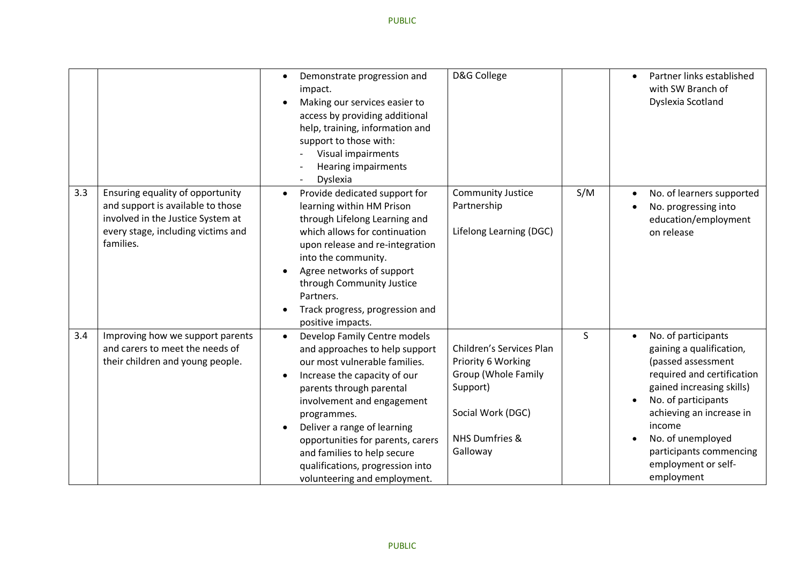|     |                                                                                                                                                               | Demonstrate progression and<br>$\bullet$<br>impact.<br>Making our services easier to<br>access by providing additional<br>help, training, information and<br>support to those with:<br>Visual impairments<br><b>Hearing impairments</b><br>Dyslexia                                                                                                                             | D&G College                                                                                                                                          | Partner links established<br>$\bullet$<br>with SW Branch of<br>Dyslexia Scotland                                                                                                                                                                                                                             |
|-----|---------------------------------------------------------------------------------------------------------------------------------------------------------------|---------------------------------------------------------------------------------------------------------------------------------------------------------------------------------------------------------------------------------------------------------------------------------------------------------------------------------------------------------------------------------|------------------------------------------------------------------------------------------------------------------------------------------------------|--------------------------------------------------------------------------------------------------------------------------------------------------------------------------------------------------------------------------------------------------------------------------------------------------------------|
| 3.3 | Ensuring equality of opportunity<br>and support is available to those<br>involved in the Justice System at<br>every stage, including victims and<br>families. | Provide dedicated support for<br>$\bullet$<br>learning within HM Prison<br>through Lifelong Learning and<br>which allows for continuation<br>upon release and re-integration<br>into the community.<br>Agree networks of support<br>through Community Justice<br>Partners.<br>Track progress, progression and<br>positive impacts.                                              | <b>Community Justice</b><br>S/M<br>Partnership<br>Lifelong Learning (DGC)                                                                            | No. of learners supported<br>$\bullet$<br>No. progressing into<br>education/employment<br>on release                                                                                                                                                                                                         |
| 3.4 | Improving how we support parents<br>and carers to meet the needs of<br>their children and young people.                                                       | Develop Family Centre models<br>and approaches to help support<br>our most vulnerable families.<br>Increase the capacity of our<br>parents through parental<br>involvement and engagement<br>programmes.<br>Deliver a range of learning<br>opportunities for parents, carers<br>and families to help secure<br>qualifications, progression into<br>volunteering and employment. | $\mathsf{S}$<br>Children's Services Plan<br>Priority 6 Working<br>Group (Whole Family<br>Support)<br>Social Work (DGC)<br>NHS Dumfries &<br>Galloway | No. of participants<br>$\bullet$<br>gaining a qualification,<br>(passed assessment<br>required and certification<br>gained increasing skills)<br>No. of participants<br>$\bullet$<br>achieving an increase in<br>income<br>No. of unemployed<br>participants commencing<br>employment or self-<br>employment |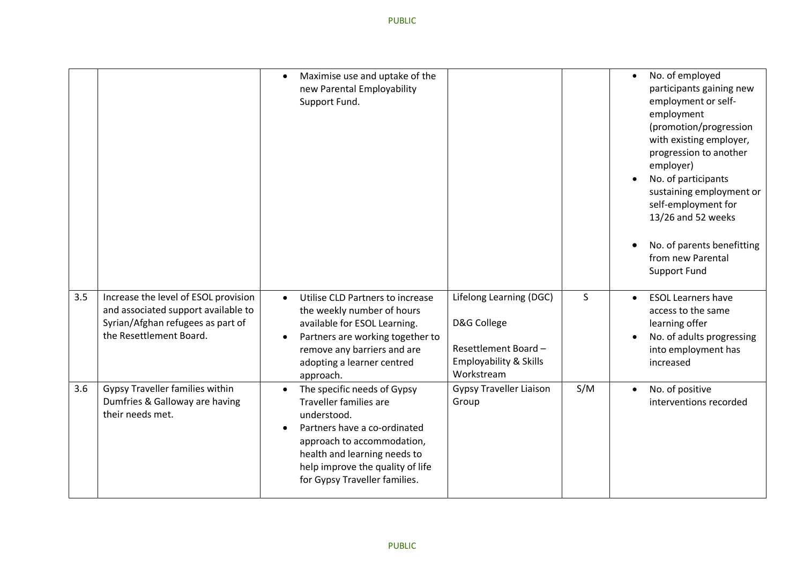|     |                                                                                                                                             | $\bullet$              | Maximise use and uptake of the<br>new Parental Employability<br>Support Fund.                                                                                                                                                                  |                                                                                                       |     | $\bullet$<br>$\bullet$ | No. of employed<br>participants gaining new<br>employment or self-<br>employment<br>(promotion/progression<br>with existing employer,<br>progression to another<br>employer)<br>No. of participants<br>sustaining employment or<br>self-employment for<br>13/26 and 52 weeks<br>No. of parents benefitting<br>from new Parental<br><b>Support Fund</b> |
|-----|---------------------------------------------------------------------------------------------------------------------------------------------|------------------------|------------------------------------------------------------------------------------------------------------------------------------------------------------------------------------------------------------------------------------------------|-------------------------------------------------------------------------------------------------------|-----|------------------------|--------------------------------------------------------------------------------------------------------------------------------------------------------------------------------------------------------------------------------------------------------------------------------------------------------------------------------------------------------|
| 3.5 | Increase the level of ESOL provision<br>and associated support available to<br>Syrian/Afghan refugees as part of<br>the Resettlement Board. | $\bullet$<br>$\bullet$ | Utilise CLD Partners to increase<br>the weekly number of hours<br>available for ESOL Learning.<br>Partners are working together to<br>remove any barriers and are<br>adopting a learner centred<br>approach.                                   | Lifelong Learning (DGC)<br>D&G College<br>Resettlement Board-<br>Employability & Skills<br>Workstream | S   | $\bullet$<br>$\bullet$ | <b>ESOL Learners have</b><br>access to the same<br>learning offer<br>No. of adults progressing<br>into employment has<br>increased                                                                                                                                                                                                                     |
| 3.6 | Gypsy Traveller families within<br>Dumfries & Galloway are having<br>their needs met.                                                       | $\bullet$              | The specific needs of Gypsy<br><b>Traveller families are</b><br>understood.<br>Partners have a co-ordinated<br>approach to accommodation,<br>health and learning needs to<br>help improve the quality of life<br>for Gypsy Traveller families. | <b>Gypsy Traveller Liaison</b><br>Group                                                               | S/M | $\bullet$              | No. of positive<br>interventions recorded                                                                                                                                                                                                                                                                                                              |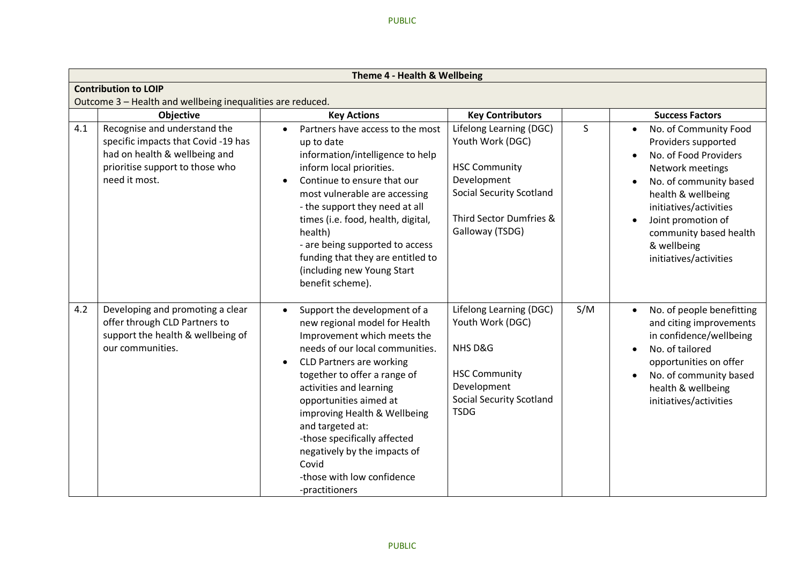|     | Theme 4 - Health & Wellbeing                                                                                                                            |                                                                                                                                                                                                                                                                                                                                                                                                                                      |                                                                                                                                                                     |     |                                                                                                                                                                                                                                                              |  |  |  |  |
|-----|---------------------------------------------------------------------------------------------------------------------------------------------------------|--------------------------------------------------------------------------------------------------------------------------------------------------------------------------------------------------------------------------------------------------------------------------------------------------------------------------------------------------------------------------------------------------------------------------------------|---------------------------------------------------------------------------------------------------------------------------------------------------------------------|-----|--------------------------------------------------------------------------------------------------------------------------------------------------------------------------------------------------------------------------------------------------------------|--|--|--|--|
|     | <b>Contribution to LOIP</b>                                                                                                                             |                                                                                                                                                                                                                                                                                                                                                                                                                                      |                                                                                                                                                                     |     |                                                                                                                                                                                                                                                              |  |  |  |  |
|     | Outcome 3 - Health and wellbeing inequalities are reduced.                                                                                              |                                                                                                                                                                                                                                                                                                                                                                                                                                      |                                                                                                                                                                     |     |                                                                                                                                                                                                                                                              |  |  |  |  |
|     | <b>Objective</b>                                                                                                                                        | <b>Key Actions</b>                                                                                                                                                                                                                                                                                                                                                                                                                   | <b>Key Contributors</b>                                                                                                                                             |     | <b>Success Factors</b>                                                                                                                                                                                                                                       |  |  |  |  |
| 4.1 | Recognise and understand the<br>specific impacts that Covid-19 has<br>had on health & wellbeing and<br>prioritise support to those who<br>need it most. | Partners have access to the most<br>$\bullet$<br>up to date<br>information/intelligence to help<br>inform local priorities.<br>Continue to ensure that our<br>most vulnerable are accessing<br>- the support they need at all<br>times (i.e. food, health, digital,<br>health)<br>- are being supported to access<br>funding that they are entitled to<br>(including new Young Start<br>benefit scheme).                             | Lifelong Learning (DGC)<br>Youth Work (DGC)<br><b>HSC Community</b><br>Development<br><b>Social Security Scotland</b><br>Third Sector Dumfries &<br>Galloway (TSDG) | S.  | No. of Community Food<br>Providers supported<br>No. of Food Providers<br>Network meetings<br>No. of community based<br>health & wellbeing<br>initiatives/activities<br>Joint promotion of<br>community based health<br>& wellbeing<br>initiatives/activities |  |  |  |  |
| 4.2 | Developing and promoting a clear<br>offer through CLD Partners to<br>support the health & wellbeing of<br>our communities.                              | Support the development of a<br>new regional model for Health<br>Improvement which meets the<br>needs of our local communities.<br><b>CLD Partners are working</b><br>together to offer a range of<br>activities and learning<br>opportunities aimed at<br>improving Health & Wellbeing<br>and targeted at:<br>-those specifically affected<br>negatively by the impacts of<br>Covid<br>-those with low confidence<br>-practitioners | Lifelong Learning (DGC)<br>Youth Work (DGC)<br>NHS D&G<br><b>HSC Community</b><br>Development<br><b>Social Security Scotland</b><br><b>TSDG</b>                     | S/M | No. of people benefitting<br>$\bullet$<br>and citing improvements<br>in confidence/wellbeing<br>No. of tailored<br>opportunities on offer<br>No. of community based<br>$\bullet$<br>health & wellbeing<br>initiatives/activities                             |  |  |  |  |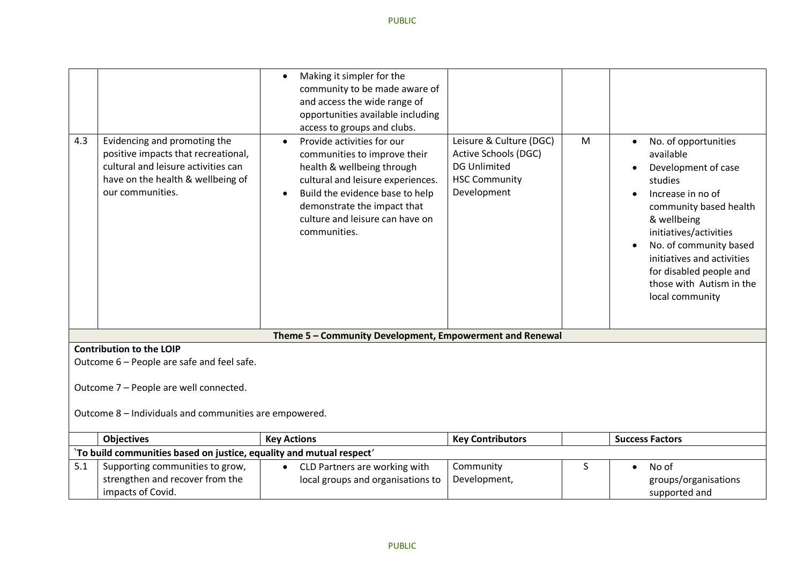| 4.3 | Evidencing and promoting the<br>positive impacts that recreational,<br>cultural and leisure activities can<br>have on the health & wellbeing of<br>our communities. | Making it simpler for the<br>$\bullet$<br>community to be made aware of<br>and access the wide range of<br>opportunities available including<br>access to groups and clubs.<br>Provide activities for our<br>communities to improve their<br>health & wellbeing through<br>cultural and leisure experiences.<br>Build the evidence base to help<br>demonstrate the impact that<br>culture and leisure can have on<br>communities. | Leisure & Culture (DGC)<br>Active Schools (DGC)<br><b>DG Unlimited</b><br><b>HSC Community</b><br>Development | M | No. of opportunities<br>available<br>Development of case<br>studies<br>Increase in no of<br>community based health<br>& wellbeing<br>initiatives/activities<br>No. of community based<br>initiatives and activities<br>for disabled people and<br>those with Autism in the<br>local community |
|-----|---------------------------------------------------------------------------------------------------------------------------------------------------------------------|-----------------------------------------------------------------------------------------------------------------------------------------------------------------------------------------------------------------------------------------------------------------------------------------------------------------------------------------------------------------------------------------------------------------------------------|---------------------------------------------------------------------------------------------------------------|---|-----------------------------------------------------------------------------------------------------------------------------------------------------------------------------------------------------------------------------------------------------------------------------------------------|
|     |                                                                                                                                                                     | Theme 5 - Community Development, Empowerment and Renewal                                                                                                                                                                                                                                                                                                                                                                          |                                                                                                               |   |                                                                                                                                                                                                                                                                                               |
|     | <b>Contribution to the LOIP</b>                                                                                                                                     |                                                                                                                                                                                                                                                                                                                                                                                                                                   |                                                                                                               |   |                                                                                                                                                                                                                                                                                               |
|     | Outcome 6 - People are safe and feel safe.                                                                                                                          |                                                                                                                                                                                                                                                                                                                                                                                                                                   |                                                                                                               |   |                                                                                                                                                                                                                                                                                               |
|     | Outcome 7 - People are well connected.<br>Outcome 8 - Individuals and communities are empowered.                                                                    |                                                                                                                                                                                                                                                                                                                                                                                                                                   |                                                                                                               |   |                                                                                                                                                                                                                                                                                               |
|     | <b>Objectives</b>                                                                                                                                                   | <b>Key Actions</b>                                                                                                                                                                                                                                                                                                                                                                                                                | <b>Key Contributors</b>                                                                                       |   | <b>Success Factors</b>                                                                                                                                                                                                                                                                        |
|     | 'To build communities based on justice, equality and mutual respect'                                                                                                |                                                                                                                                                                                                                                                                                                                                                                                                                                   |                                                                                                               |   |                                                                                                                                                                                                                                                                                               |
| 5.1 | Supporting communities to grow,<br>strengthen and recover from the<br>impacts of Covid.                                                                             | CLD Partners are working with<br>$\bullet$<br>local groups and organisations to                                                                                                                                                                                                                                                                                                                                                   | Community<br>Development,                                                                                     | S | No of<br>$\bullet$<br>groups/organisations<br>supported and                                                                                                                                                                                                                                   |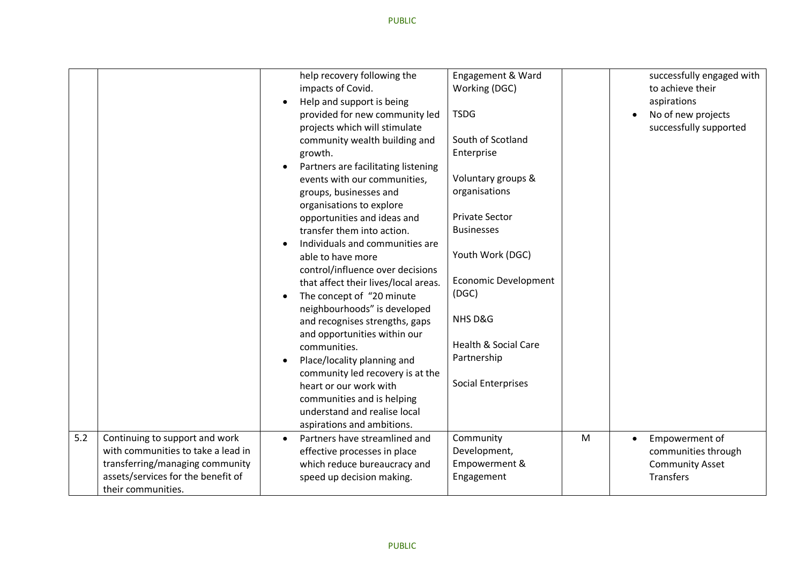|     |                                    | $\bullet$ | help recovery following the<br>impacts of Covid.<br>Help and support is being<br>provided for new community led<br>projects which will stimulate<br>community wealth building and<br>growth.<br>Partners are facilitating listening<br>events with our communities,<br>groups, businesses and<br>organisations to explore<br>opportunities and ideas and<br>transfer them into action.<br>Individuals and communities are<br>able to have more<br>control/influence over decisions<br>that affect their lives/local areas.<br>The concept of "20 minute<br>neighbourhoods" is developed<br>and recognises strengths, gaps<br>and opportunities within our | Engagement & Ward<br>Working (DGC)<br><b>TSDG</b><br>South of Scotland<br>Enterprise<br>Voluntary groups &<br>organisations<br><b>Private Sector</b><br><b>Businesses</b><br>Youth Work (DGC)<br><b>Economic Development</b><br>(DGC)<br>NHS D&G |   | successfully engaged with<br>to achieve their<br>aspirations<br>No of new projects<br>successfully supported |
|-----|------------------------------------|-----------|-----------------------------------------------------------------------------------------------------------------------------------------------------------------------------------------------------------------------------------------------------------------------------------------------------------------------------------------------------------------------------------------------------------------------------------------------------------------------------------------------------------------------------------------------------------------------------------------------------------------------------------------------------------|--------------------------------------------------------------------------------------------------------------------------------------------------------------------------------------------------------------------------------------------------|---|--------------------------------------------------------------------------------------------------------------|
|     |                                    |           |                                                                                                                                                                                                                                                                                                                                                                                                                                                                                                                                                                                                                                                           |                                                                                                                                                                                                                                                  |   |                                                                                                              |
|     |                                    |           | communities.                                                                                                                                                                                                                                                                                                                                                                                                                                                                                                                                                                                                                                              | <b>Health &amp; Social Care</b>                                                                                                                                                                                                                  |   |                                                                                                              |
|     |                                    |           | Place/locality planning and<br>community led recovery is at the                                                                                                                                                                                                                                                                                                                                                                                                                                                                                                                                                                                           | Partnership                                                                                                                                                                                                                                      |   |                                                                                                              |
|     |                                    |           | heart or our work with<br>communities and is helping                                                                                                                                                                                                                                                                                                                                                                                                                                                                                                                                                                                                      | <b>Social Enterprises</b>                                                                                                                                                                                                                        |   |                                                                                                              |
|     |                                    |           | understand and realise local                                                                                                                                                                                                                                                                                                                                                                                                                                                                                                                                                                                                                              |                                                                                                                                                                                                                                                  |   |                                                                                                              |
|     |                                    |           | aspirations and ambitions.                                                                                                                                                                                                                                                                                                                                                                                                                                                                                                                                                                                                                                |                                                                                                                                                                                                                                                  |   |                                                                                                              |
| 5.2 | Continuing to support and work     | $\bullet$ | Partners have streamlined and                                                                                                                                                                                                                                                                                                                                                                                                                                                                                                                                                                                                                             | Community                                                                                                                                                                                                                                        | M | Empowerment of<br>$\bullet$                                                                                  |
|     | with communities to take a lead in |           | effective processes in place                                                                                                                                                                                                                                                                                                                                                                                                                                                                                                                                                                                                                              | Development,                                                                                                                                                                                                                                     |   | communities through                                                                                          |
|     | transferring/managing community    |           | which reduce bureaucracy and                                                                                                                                                                                                                                                                                                                                                                                                                                                                                                                                                                                                                              | Empowerment &                                                                                                                                                                                                                                    |   | <b>Community Asset</b>                                                                                       |
|     | assets/services for the benefit of |           | speed up decision making.                                                                                                                                                                                                                                                                                                                                                                                                                                                                                                                                                                                                                                 | Engagement                                                                                                                                                                                                                                       |   | <b>Transfers</b>                                                                                             |
|     | their communities.                 |           |                                                                                                                                                                                                                                                                                                                                                                                                                                                                                                                                                                                                                                                           |                                                                                                                                                                                                                                                  |   |                                                                                                              |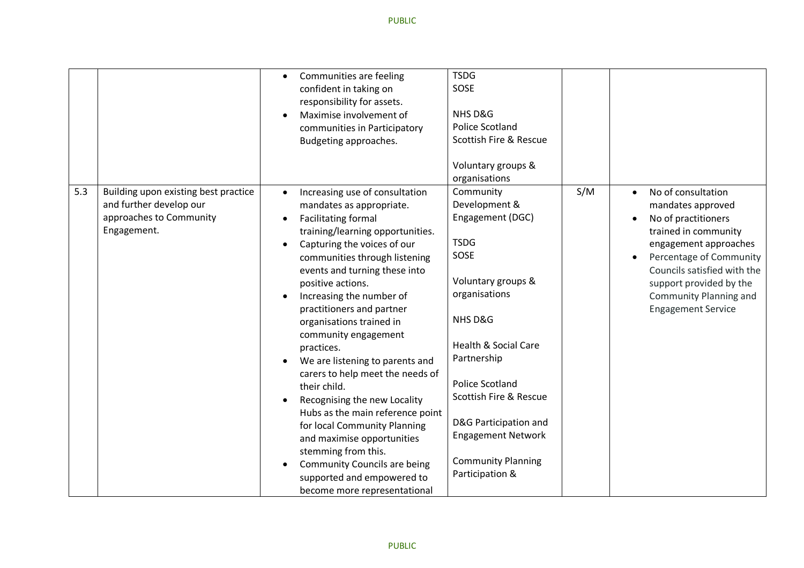|     |                                                                                                           | $\bullet$ | Communities are feeling<br>confident in taking on<br>responsibility for assets.<br>Maximise involvement of<br>communities in Participatory<br>Budgeting approaches.                                                                                                                                                                                                                                                                                                                                                                                                                                                                                                                                                                | <b>TSDG</b><br>SOSE<br>NHS D&G<br><b>Police Scotland</b><br>Scottish Fire & Rescue                                                                                                                                                                                                                                                  |     |                                                                                                                                                                                                                                                                          |
|-----|-----------------------------------------------------------------------------------------------------------|-----------|------------------------------------------------------------------------------------------------------------------------------------------------------------------------------------------------------------------------------------------------------------------------------------------------------------------------------------------------------------------------------------------------------------------------------------------------------------------------------------------------------------------------------------------------------------------------------------------------------------------------------------------------------------------------------------------------------------------------------------|-------------------------------------------------------------------------------------------------------------------------------------------------------------------------------------------------------------------------------------------------------------------------------------------------------------------------------------|-----|--------------------------------------------------------------------------------------------------------------------------------------------------------------------------------------------------------------------------------------------------------------------------|
|     |                                                                                                           |           |                                                                                                                                                                                                                                                                                                                                                                                                                                                                                                                                                                                                                                                                                                                                    | Voluntary groups &<br>organisations                                                                                                                                                                                                                                                                                                 |     |                                                                                                                                                                                                                                                                          |
| 5.3 | Building upon existing best practice<br>and further develop our<br>approaches to Community<br>Engagement. | $\bullet$ | Increasing use of consultation<br>mandates as appropriate.<br><b>Facilitating formal</b><br>training/learning opportunities.<br>Capturing the voices of our<br>communities through listening<br>events and turning these into<br>positive actions.<br>Increasing the number of<br>practitioners and partner<br>organisations trained in<br>community engagement<br>practices.<br>We are listening to parents and<br>carers to help meet the needs of<br>their child.<br>Recognising the new Locality<br>Hubs as the main reference point<br>for local Community Planning<br>and maximise opportunities<br>stemming from this.<br><b>Community Councils are being</b><br>supported and empowered to<br>become more representational | Community<br>Development &<br>Engagement (DGC)<br><b>TSDG</b><br>SOSE<br>Voluntary groups &<br>organisations<br>NHS D&G<br><b>Health &amp; Social Care</b><br>Partnership<br><b>Police Scotland</b><br>Scottish Fire & Rescue<br>D&G Participation and<br><b>Engagement Network</b><br><b>Community Planning</b><br>Participation & | S/M | No of consultation<br>$\bullet$<br>mandates approved<br>No of practitioners<br>trained in community<br>engagement approaches<br>Percentage of Community<br>Councils satisfied with the<br>support provided by the<br>Community Planning and<br><b>Engagement Service</b> |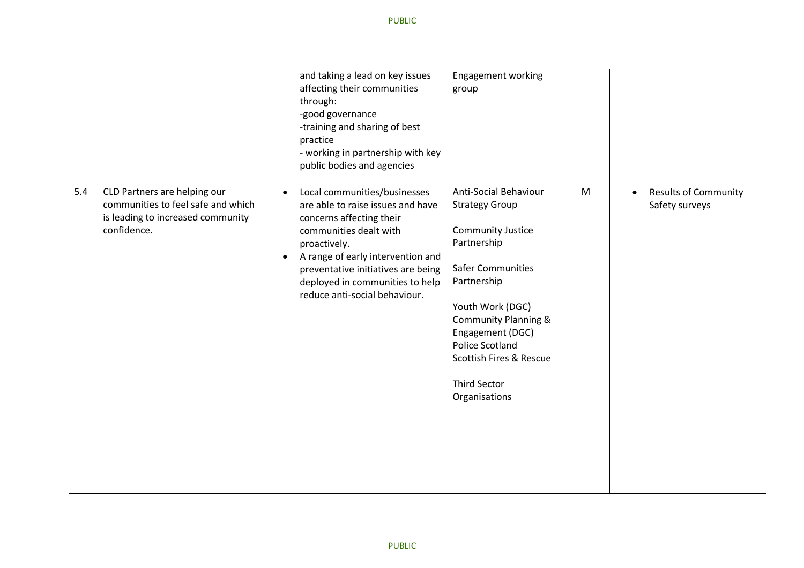|     |                                                                                                                        | and taking a lead on key issues<br>affecting their communities<br>through:<br>-good governance<br>-training and sharing of best<br>practice<br>- working in partnership with key<br>public bodies and agencies                                                                                      | Engagement working<br>group                                                                                                                                                                                                                                                                           |   |                                                            |
|-----|------------------------------------------------------------------------------------------------------------------------|-----------------------------------------------------------------------------------------------------------------------------------------------------------------------------------------------------------------------------------------------------------------------------------------------------|-------------------------------------------------------------------------------------------------------------------------------------------------------------------------------------------------------------------------------------------------------------------------------------------------------|---|------------------------------------------------------------|
| 5.4 | CLD Partners are helping our<br>communities to feel safe and which<br>is leading to increased community<br>confidence. | Local communities/businesses<br>$\bullet$<br>are able to raise issues and have<br>concerns affecting their<br>communities dealt with<br>proactively.<br>A range of early intervention and<br>preventative initiatives are being<br>deployed in communities to help<br>reduce anti-social behaviour. | Anti-Social Behaviour<br><b>Strategy Group</b><br><b>Community Justice</b><br>Partnership<br>Safer Communities<br>Partnership<br>Youth Work (DGC)<br><b>Community Planning &amp;</b><br>Engagement (DGC)<br><b>Police Scotland</b><br>Scottish Fires & Rescue<br><b>Third Sector</b><br>Organisations | M | <b>Results of Community</b><br>$\bullet$<br>Safety surveys |
|     |                                                                                                                        |                                                                                                                                                                                                                                                                                                     |                                                                                                                                                                                                                                                                                                       |   |                                                            |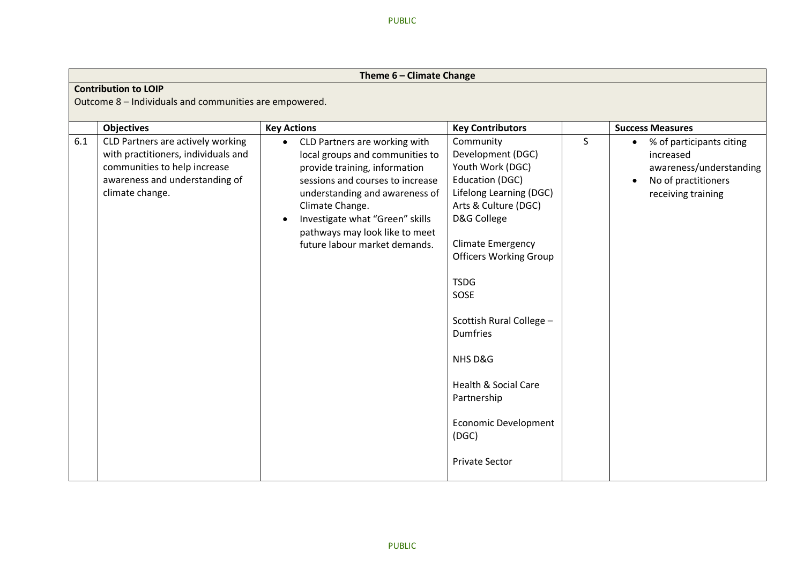|     | Theme 6 - Climate Change                                                                                                                                                           |                                                                                                                                                                                                                                                                                                                                     |                                                                                                                                                                                                                                                                                                                                                                                                          |              |                                                                                                                                                       |  |  |  |
|-----|------------------------------------------------------------------------------------------------------------------------------------------------------------------------------------|-------------------------------------------------------------------------------------------------------------------------------------------------------------------------------------------------------------------------------------------------------------------------------------------------------------------------------------|----------------------------------------------------------------------------------------------------------------------------------------------------------------------------------------------------------------------------------------------------------------------------------------------------------------------------------------------------------------------------------------------------------|--------------|-------------------------------------------------------------------------------------------------------------------------------------------------------|--|--|--|
|     | <b>Contribution to LOIP</b><br>Outcome 8 - Individuals and communities are empowered.                                                                                              |                                                                                                                                                                                                                                                                                                                                     |                                                                                                                                                                                                                                                                                                                                                                                                          |              |                                                                                                                                                       |  |  |  |
| 6.1 | <b>Objectives</b><br>CLD Partners are actively working<br>with practitioners, individuals and<br>communities to help increase<br>awareness and understanding of<br>climate change. | <b>Key Actions</b><br>CLD Partners are working with<br>$\bullet$<br>local groups and communities to<br>provide training, information<br>sessions and courses to increase<br>understanding and awareness of<br>Climate Change.<br>Investigate what "Green" skills<br>pathways may look like to meet<br>future labour market demands. | <b>Key Contributors</b><br>Community<br>Development (DGC)<br>Youth Work (DGC)<br><b>Education (DGC)</b><br>Lifelong Learning (DGC)<br>Arts & Culture (DGC)<br>D&G College<br><b>Climate Emergency</b><br><b>Officers Working Group</b><br><b>TSDG</b><br>SOSE<br>Scottish Rural College -<br><b>Dumfries</b><br>NHS D&G<br><b>Health &amp; Social Care</b><br>Partnership<br><b>Economic Development</b> | $\mathsf{S}$ | <b>Success Measures</b><br>% of participants citing<br>$\bullet$<br>increased<br>awareness/understanding<br>No of practitioners<br>receiving training |  |  |  |
|     |                                                                                                                                                                                    |                                                                                                                                                                                                                                                                                                                                     | (DGC)<br><b>Private Sector</b>                                                                                                                                                                                                                                                                                                                                                                           |              |                                                                                                                                                       |  |  |  |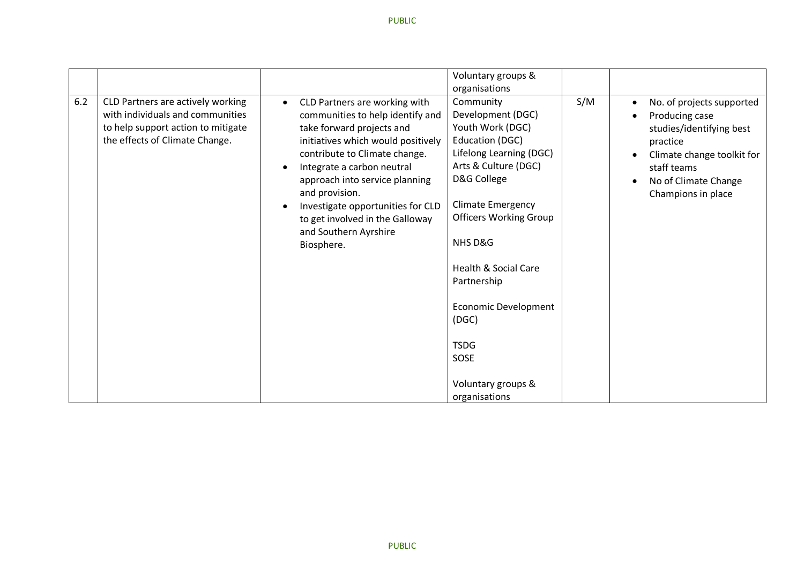|     |                                                                                                                                               |           |                                                                                                                                                                                                                                                                                                                                                                        | Voluntary groups &                                                                                                                                                                                                                                                                                                                                                      |     |                                                                                                                                                                                                                                    |
|-----|-----------------------------------------------------------------------------------------------------------------------------------------------|-----------|------------------------------------------------------------------------------------------------------------------------------------------------------------------------------------------------------------------------------------------------------------------------------------------------------------------------------------------------------------------------|-------------------------------------------------------------------------------------------------------------------------------------------------------------------------------------------------------------------------------------------------------------------------------------------------------------------------------------------------------------------------|-----|------------------------------------------------------------------------------------------------------------------------------------------------------------------------------------------------------------------------------------|
|     |                                                                                                                                               |           |                                                                                                                                                                                                                                                                                                                                                                        | organisations                                                                                                                                                                                                                                                                                                                                                           |     |                                                                                                                                                                                                                                    |
| 6.2 | CLD Partners are actively working<br>with individuals and communities<br>to help support action to mitigate<br>the effects of Climate Change. | $\bullet$ | CLD Partners are working with<br>communities to help identify and<br>take forward projects and<br>initiatives which would positively<br>contribute to Climate change.<br>Integrate a carbon neutral<br>approach into service planning<br>and provision.<br>Investigate opportunities for CLD<br>to get involved in the Galloway<br>and Southern Ayrshire<br>Biosphere. | Community<br>Development (DGC)<br>Youth Work (DGC)<br>Education (DGC)<br>Lifelong Learning (DGC)<br>Arts & Culture (DGC)<br>D&G College<br><b>Climate Emergency</b><br><b>Officers Working Group</b><br>NHS D&G<br><b>Health &amp; Social Care</b><br>Partnership<br><b>Economic Development</b><br>(DGC)<br><b>TSDG</b><br>SOSE<br>Voluntary groups &<br>organisations | S/M | No. of projects supported<br>$\bullet$<br>Producing case<br>$\bullet$<br>studies/identifying best<br>practice<br>Climate change toolkit for<br>$\bullet$<br>staff teams<br>No of Climate Change<br>$\bullet$<br>Champions in place |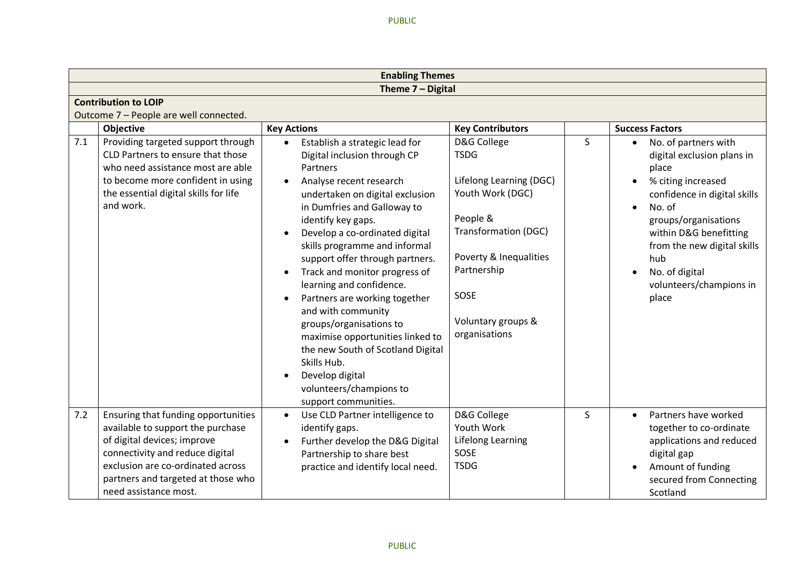|     |                                                                                                                                                                                                                       | <b>Enabling Themes</b>                                                                                                                                                                                                                                                                                                                                                                                                                                                                                                                                                                                                               |                                                                                                                                                                                                              |              |                                                                                                                                                                                                                                                                                                                  |
|-----|-----------------------------------------------------------------------------------------------------------------------------------------------------------------------------------------------------------------------|--------------------------------------------------------------------------------------------------------------------------------------------------------------------------------------------------------------------------------------------------------------------------------------------------------------------------------------------------------------------------------------------------------------------------------------------------------------------------------------------------------------------------------------------------------------------------------------------------------------------------------------|--------------------------------------------------------------------------------------------------------------------------------------------------------------------------------------------------------------|--------------|------------------------------------------------------------------------------------------------------------------------------------------------------------------------------------------------------------------------------------------------------------------------------------------------------------------|
|     |                                                                                                                                                                                                                       | Theme 7 - Digital                                                                                                                                                                                                                                                                                                                                                                                                                                                                                                                                                                                                                    |                                                                                                                                                                                                              |              |                                                                                                                                                                                                                                                                                                                  |
|     | <b>Contribution to LOIP</b>                                                                                                                                                                                           |                                                                                                                                                                                                                                                                                                                                                                                                                                                                                                                                                                                                                                      |                                                                                                                                                                                                              |              |                                                                                                                                                                                                                                                                                                                  |
|     | Outcome 7 - People are well connected.                                                                                                                                                                                |                                                                                                                                                                                                                                                                                                                                                                                                                                                                                                                                                                                                                                      |                                                                                                                                                                                                              |              |                                                                                                                                                                                                                                                                                                                  |
|     | <b>Objective</b>                                                                                                                                                                                                      | <b>Key Actions</b>                                                                                                                                                                                                                                                                                                                                                                                                                                                                                                                                                                                                                   | <b>Key Contributors</b>                                                                                                                                                                                      |              | <b>Success Factors</b>                                                                                                                                                                                                                                                                                           |
| 7.1 | Providing targeted support through<br>CLD Partners to ensure that those<br>who need assistance most are able<br>to become more confident in using<br>the essential digital skills for life<br>and work.               | Establish a strategic lead for<br>Digital inclusion through CP<br><b>Partners</b><br>Analyse recent research<br>undertaken on digital exclusion<br>in Dumfries and Galloway to<br>identify key gaps.<br>Develop a co-ordinated digital<br>skills programme and informal<br>support offer through partners.<br>Track and monitor progress of<br>learning and confidence.<br>Partners are working together<br>and with community<br>groups/organisations to<br>maximise opportunities linked to<br>the new South of Scotland Digital<br>Skills Hub.<br>Develop digital<br>$\bullet$<br>volunteers/champions to<br>support communities. | D&G College<br><b>TSDG</b><br>Lifelong Learning (DGC)<br>Youth Work (DGC)<br>People &<br><b>Transformation (DGC)</b><br>Poverty & Inequalities<br>Partnership<br>SOSE<br>Voluntary groups &<br>organisations | $\mathsf{S}$ | No. of partners with<br>$\bullet$<br>digital exclusion plans in<br>place<br>% citing increased<br>confidence in digital skills<br>No. of<br>$\bullet$<br>groups/organisations<br>within D&G benefitting<br>from the new digital skills<br>hub<br>No. of digital<br>$\bullet$<br>volunteers/champions in<br>place |
| 7.2 | Ensuring that funding opportunities<br>available to support the purchase<br>of digital devices; improve<br>connectivity and reduce digital<br>exclusion are co-ordinated across<br>partners and targeted at those who | Use CLD Partner intelligence to<br>identify gaps.<br>Further develop the D&G Digital<br>Partnership to share best<br>practice and identify local need.                                                                                                                                                                                                                                                                                                                                                                                                                                                                               | D&G College<br>Youth Work<br>Lifelong Learning<br>SOSE<br><b>TSDG</b>                                                                                                                                        | S.           | Partners have worked<br>$\bullet$<br>together to co-ordinate<br>applications and reduced<br>digital gap<br>Amount of funding                                                                                                                                                                                     |
|     | need assistance most.                                                                                                                                                                                                 |                                                                                                                                                                                                                                                                                                                                                                                                                                                                                                                                                                                                                                      |                                                                                                                                                                                                              |              | secured from Connecting<br>Scotland                                                                                                                                                                                                                                                                              |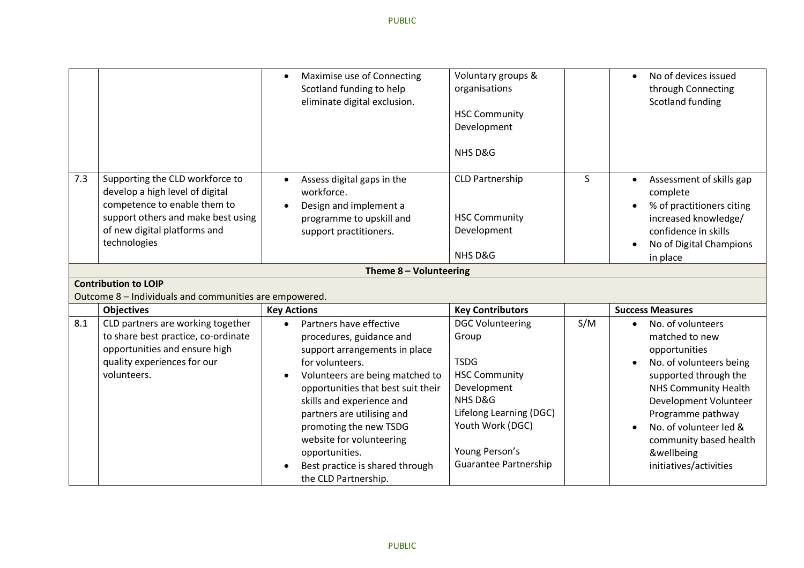|     |                                                                                                                                                                                                                         | Maximise use of Connecting<br>$\bullet$<br>Scotland funding to help<br>eliminate digital exclusion.                                                                                                                                                                                                                                                                                         | Voluntary groups &<br>organisations<br><b>HSC Community</b><br>Development<br>NHS D&G                                                                                                              |     | No of devices issued<br>$\bullet$<br>through Connecting<br>Scotland funding                                                                                                                                                                                                                                              |
|-----|-------------------------------------------------------------------------------------------------------------------------------------------------------------------------------------------------------------------------|---------------------------------------------------------------------------------------------------------------------------------------------------------------------------------------------------------------------------------------------------------------------------------------------------------------------------------------------------------------------------------------------|----------------------------------------------------------------------------------------------------------------------------------------------------------------------------------------------------|-----|--------------------------------------------------------------------------------------------------------------------------------------------------------------------------------------------------------------------------------------------------------------------------------------------------------------------------|
| 7.3 | Supporting the CLD workforce to<br>develop a high level of digital<br>competence to enable them to<br>support others and make best using<br>of new digital platforms and<br>technologies<br><b>Contribution to LOIP</b> | Assess digital gaps in the<br>workforce.<br>Design and implement a<br>programme to upskill and<br>support practitioners.<br>Theme 8 - Volunteering                                                                                                                                                                                                                                          | <b>CLD Partnership</b><br><b>HSC Community</b><br>Development<br>NHS D&G                                                                                                                           | S.  | Assessment of skills gap<br>$\bullet$<br>complete<br>% of practitioners citing<br>increased knowledge/<br>confidence in skills<br>No of Digital Champions<br>$\bullet$<br>in place                                                                                                                                       |
|     | Outcome 8 - Individuals and communities are empowered.                                                                                                                                                                  |                                                                                                                                                                                                                                                                                                                                                                                             |                                                                                                                                                                                                    |     |                                                                                                                                                                                                                                                                                                                          |
|     | <b>Objectives</b>                                                                                                                                                                                                       | <b>Key Actions</b>                                                                                                                                                                                                                                                                                                                                                                          | <b>Key Contributors</b>                                                                                                                                                                            |     | <b>Success Measures</b>                                                                                                                                                                                                                                                                                                  |
| 8.1 | CLD partners are working together<br>to share best practice, co-ordinate<br>opportunities and ensure high<br>quality experiences for our<br>volunteers.                                                                 | Partners have effective<br>$\bullet$<br>procedures, guidance and<br>support arrangements in place<br>for volunteers.<br>Volunteers are being matched to<br>opportunities that best suit their<br>skills and experience and<br>partners are utilising and<br>promoting the new TSDG<br>website for volunteering<br>opportunities.<br>Best practice is shared through<br>the CLD Partnership. | <b>DGC Volunteering</b><br>Group<br><b>TSDG</b><br><b>HSC Community</b><br>Development<br>NHS D&G<br>Lifelong Learning (DGC)<br>Youth Work (DGC)<br>Young Person's<br><b>Guarantee Partnership</b> | S/M | No. of volunteers<br>$\bullet$<br>matched to new<br>opportunities<br>No. of volunteers being<br>$\bullet$<br>supported through the<br><b>NHS Community Health</b><br>Development Volunteer<br>Programme pathway<br>No. of volunteer led &<br>$\bullet$<br>community based health<br>&wellbeing<br>initiatives/activities |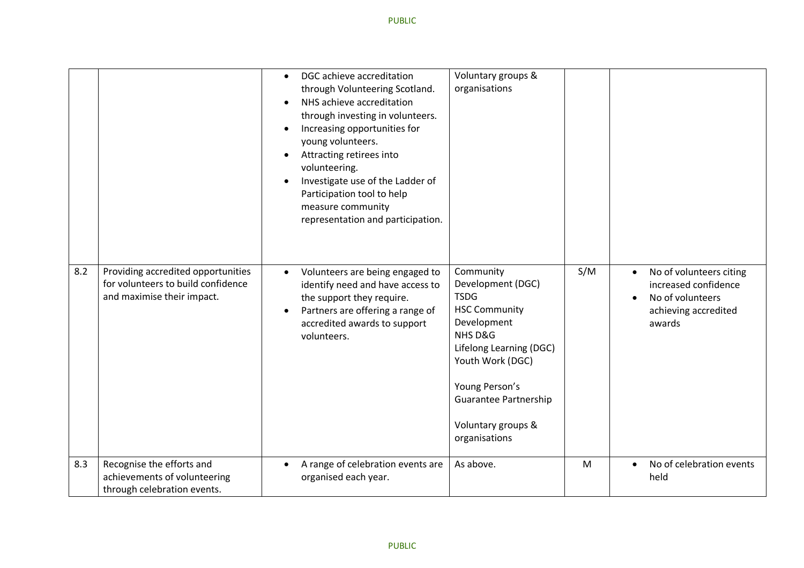|     |                                                                                                        | $\bullet$ | DGC achieve accreditation<br>through Volunteering Scotland.<br>NHS achieve accreditation<br>through investing in volunteers.<br>Increasing opportunities for<br>young volunteers.<br>Attracting retirees into<br>volunteering.<br>Investigate use of the Ladder of<br>Participation tool to help<br>measure community<br>representation and participation. | Voluntary groups &<br>organisations                                                                                                                                                                                                     |     |                        |                                                                                                       |
|-----|--------------------------------------------------------------------------------------------------------|-----------|------------------------------------------------------------------------------------------------------------------------------------------------------------------------------------------------------------------------------------------------------------------------------------------------------------------------------------------------------------|-----------------------------------------------------------------------------------------------------------------------------------------------------------------------------------------------------------------------------------------|-----|------------------------|-------------------------------------------------------------------------------------------------------|
| 8.2 | Providing accredited opportunities<br>for volunteers to build confidence<br>and maximise their impact. | $\bullet$ | Volunteers are being engaged to<br>identify need and have access to<br>the support they require.<br>Partners are offering a range of<br>accredited awards to support<br>volunteers.                                                                                                                                                                        | Community<br>Development (DGC)<br><b>TSDG</b><br><b>HSC Community</b><br>Development<br>NHS D&G<br>Lifelong Learning (DGC)<br>Youth Work (DGC)<br>Young Person's<br><b>Guarantee Partnership</b><br>Voluntary groups &<br>organisations | S/M | $\bullet$<br>$\bullet$ | No of volunteers citing<br>increased confidence<br>No of volunteers<br>achieving accredited<br>awards |
| 8.3 | Recognise the efforts and<br>achievements of volunteering<br>through celebration events.               |           | A range of celebration events are<br>organised each year.                                                                                                                                                                                                                                                                                                  | As above.                                                                                                                                                                                                                               | M   |                        | No of celebration events<br>held                                                                      |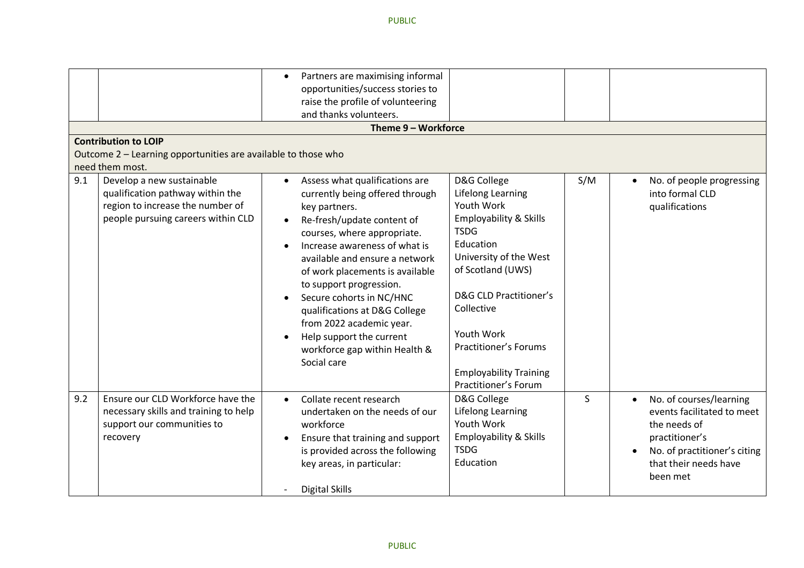|     | <b>Contribution to LOIP</b><br>Outcome 2 - Learning opportunities are available to those who<br>need them most.                         | Partners are maximising informal<br>$\bullet$<br>opportunities/success stories to<br>raise the profile of volunteering<br>and thanks volunteers.<br>Theme 9 - Workforce                                                                                                                                                                                                                                                                                            |                                                                                                                                                                                                                                                                                                                                 |     |                                                                                                                                                              |
|-----|-----------------------------------------------------------------------------------------------------------------------------------------|--------------------------------------------------------------------------------------------------------------------------------------------------------------------------------------------------------------------------------------------------------------------------------------------------------------------------------------------------------------------------------------------------------------------------------------------------------------------|---------------------------------------------------------------------------------------------------------------------------------------------------------------------------------------------------------------------------------------------------------------------------------------------------------------------------------|-----|--------------------------------------------------------------------------------------------------------------------------------------------------------------|
| 9.1 | Develop a new sustainable<br>qualification pathway within the<br>region to increase the number of<br>people pursuing careers within CLD | Assess what qualifications are<br>$\bullet$<br>currently being offered through<br>key partners.<br>Re-fresh/update content of<br>courses, where appropriate.<br>Increase awareness of what is<br>available and ensure a network<br>of work placements is available<br>to support progression.<br>Secure cohorts in NC/HNC<br>qualifications at D&G College<br>from 2022 academic year.<br>Help support the current<br>workforce gap within Health &<br>Social care | D&G College<br>Lifelong Learning<br>Youth Work<br><b>Employability &amp; Skills</b><br><b>TSDG</b><br>Education<br>University of the West<br>of Scotland (UWS)<br><b>D&amp;G CLD Practitioner's</b><br>Collective<br>Youth Work<br><b>Practitioner's Forums</b><br><b>Employability Training</b><br><b>Practitioner's Forum</b> | S/M | No. of people progressing<br>$\bullet$<br>into formal CLD<br>qualifications                                                                                  |
| 9.2 | Ensure our CLD Workforce have the<br>necessary skills and training to help<br>support our communities to<br>recovery                    | Collate recent research<br>$\bullet$<br>undertaken on the needs of our<br>workforce<br>Ensure that training and support<br>$\bullet$<br>is provided across the following<br>key areas, in particular:<br><b>Digital Skills</b>                                                                                                                                                                                                                                     | D&G College<br>Lifelong Learning<br>Youth Work<br><b>Employability &amp; Skills</b><br><b>TSDG</b><br>Education                                                                                                                                                                                                                 | S.  | No. of courses/learning<br>events facilitated to meet<br>the needs of<br>practitioner's<br>No. of practitioner's citing<br>that their needs have<br>been met |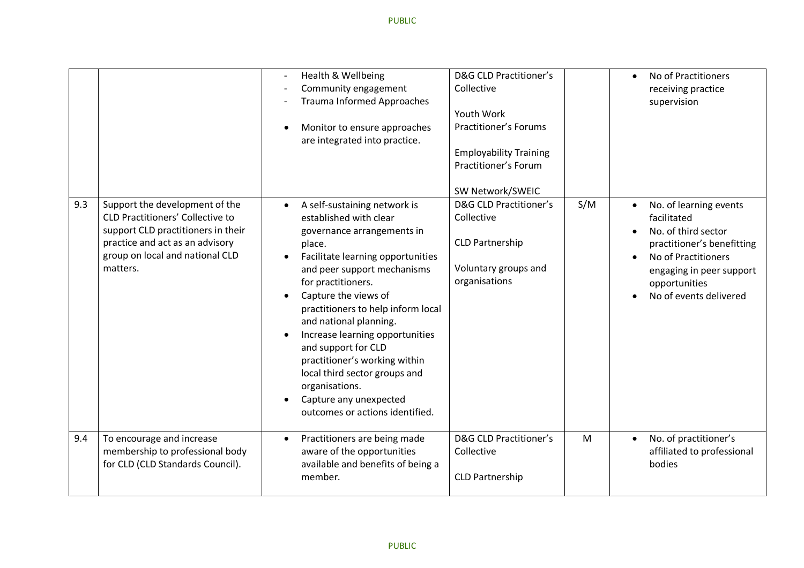|     |                                                                                                                                                                                                   | Health & Wellbeing<br>Community engagement<br><b>Trauma Informed Approaches</b><br>Monitor to ensure approaches<br>are integrated into practice.                                                                                                                                                                                                                                                                                                                                            | <b>D&amp;G CLD Practitioner's</b><br>Collective<br>Youth Work<br><b>Practitioner's Forums</b><br><b>Employability Training</b><br>Practitioner's Forum<br>SW Network/SWEIC |     | No of Practitioners<br>$\bullet$<br>receiving practice<br>supervision                                                                                                                    |
|-----|---------------------------------------------------------------------------------------------------------------------------------------------------------------------------------------------------|---------------------------------------------------------------------------------------------------------------------------------------------------------------------------------------------------------------------------------------------------------------------------------------------------------------------------------------------------------------------------------------------------------------------------------------------------------------------------------------------|----------------------------------------------------------------------------------------------------------------------------------------------------------------------------|-----|------------------------------------------------------------------------------------------------------------------------------------------------------------------------------------------|
| 9.3 | Support the development of the<br><b>CLD Practitioners' Collective to</b><br>support CLD practitioners in their<br>practice and act as an advisory<br>group on local and national CLD<br>matters. | A self-sustaining network is<br>established with clear<br>governance arrangements in<br>place.<br>Facilitate learning opportunities<br>and peer support mechanisms<br>for practitioners.<br>Capture the views of<br>practitioners to help inform local<br>and national planning.<br>Increase learning opportunities<br>and support for CLD<br>practitioner's working within<br>local third sector groups and<br>organisations.<br>Capture any unexpected<br>outcomes or actions identified. | <b>D&amp;G CLD Practitioner's</b><br>Collective<br><b>CLD Partnership</b><br>Voluntary groups and<br>organisations                                                         | S/M | No. of learning events<br>facilitated<br>No. of third sector<br>practitioner's benefitting<br>No of Practitioners<br>engaging in peer support<br>opportunities<br>No of events delivered |
| 9.4 | To encourage and increase<br>membership to professional body<br>for CLD (CLD Standards Council).                                                                                                  | Practitioners are being made<br>aware of the opportunities<br>available and benefits of being a<br>member.                                                                                                                                                                                                                                                                                                                                                                                  | <b>D&amp;G CLD Practitioner's</b><br>Collective<br><b>CLD Partnership</b>                                                                                                  | M   | No. of practitioner's<br>$\bullet$<br>affiliated to professional<br>bodies                                                                                                               |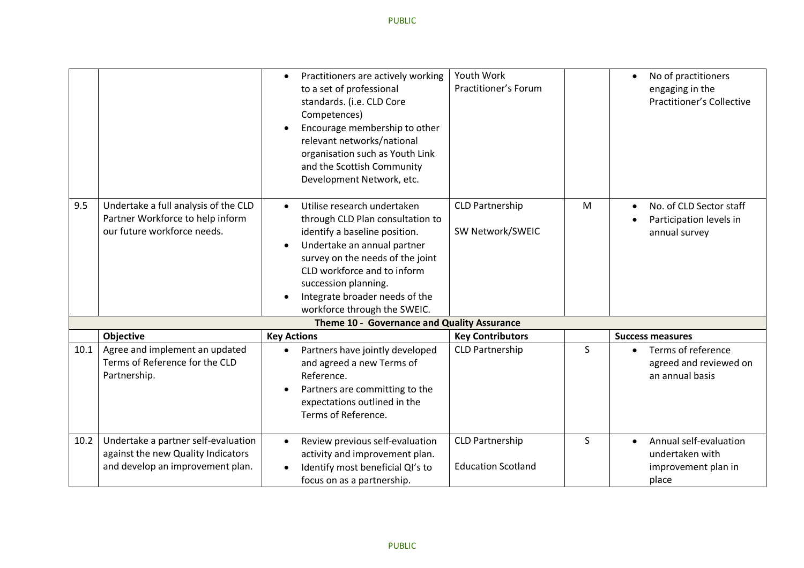| 9.5  | Undertake a full analysis of the CLD<br>Partner Workforce to help inform<br>our future workforce needs.       | Practitioners are actively working<br>$\bullet$<br>to a set of professional<br>standards. (i.e. CLD Core<br>Competences)<br>Encourage membership to other<br>relevant networks/national<br>organisation such as Youth Link<br>and the Scottish Community<br>Development Network, etc.<br>Utilise research undertaken<br>$\bullet$<br>through CLD Plan consultation to<br>identify a baseline position.<br>Undertake an annual partner<br>survey on the needs of the joint<br>CLD workforce and to inform<br>succession planning. | Youth Work<br>Practitioner's Forum<br><b>CLD Partnership</b><br>SW Network/SWEIC | M  | No of practitioners<br>$\bullet$<br>engaging in the<br><b>Practitioner's Collective</b><br>No. of CLD Sector staff<br>Participation levels in<br>annual survey |
|------|---------------------------------------------------------------------------------------------------------------|----------------------------------------------------------------------------------------------------------------------------------------------------------------------------------------------------------------------------------------------------------------------------------------------------------------------------------------------------------------------------------------------------------------------------------------------------------------------------------------------------------------------------------|----------------------------------------------------------------------------------|----|----------------------------------------------------------------------------------------------------------------------------------------------------------------|
|      |                                                                                                               | Integrate broader needs of the<br>workforce through the SWEIC.                                                                                                                                                                                                                                                                                                                                                                                                                                                                   |                                                                                  |    |                                                                                                                                                                |
|      |                                                                                                               | Theme 10 - Governance and Quality Assurance                                                                                                                                                                                                                                                                                                                                                                                                                                                                                      |                                                                                  |    |                                                                                                                                                                |
|      | Objective                                                                                                     | <b>Key Actions</b>                                                                                                                                                                                                                                                                                                                                                                                                                                                                                                               | <b>Key Contributors</b>                                                          |    | <b>Success measures</b>                                                                                                                                        |
| 10.1 | Agree and implement an updated<br>Terms of Reference for the CLD<br>Partnership.                              | Partners have jointly developed<br>and agreed a new Terms of<br>Reference.<br>Partners are committing to the<br>expectations outlined in the<br>Terms of Reference.                                                                                                                                                                                                                                                                                                                                                              | <b>CLD Partnership</b>                                                           | S. | Terms of reference<br>agreed and reviewed on<br>an annual basis                                                                                                |
| 10.2 | Undertake a partner self-evaluation<br>against the new Quality Indicators<br>and develop an improvement plan. | Review previous self-evaluation<br>$\bullet$<br>activity and improvement plan.<br>Identify most beneficial QI's to<br>focus on as a partnership.                                                                                                                                                                                                                                                                                                                                                                                 | <b>CLD Partnership</b><br><b>Education Scotland</b>                              | S  | Annual self-evaluation<br>$\bullet$<br>undertaken with<br>improvement plan in<br>place                                                                         |